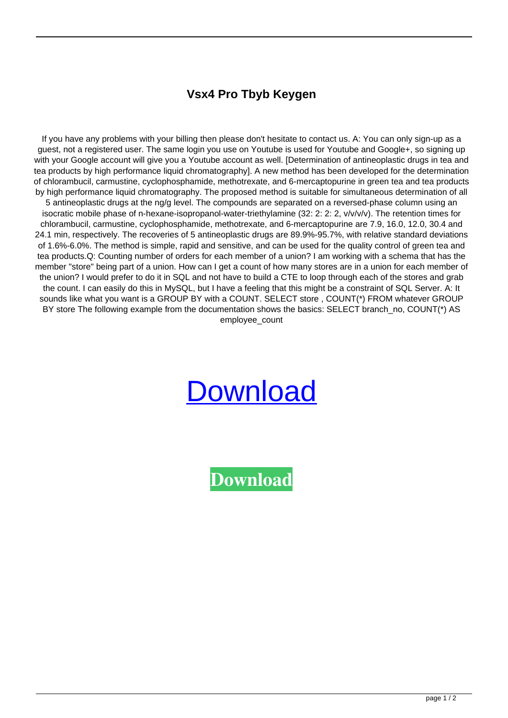## **Vsx4 Pro Tbyb Keygen**

If you have any problems with your billing then please don't hesitate to contact us. A: You can only sign-up as a guest, not a registered user. The same login you use on Youtube is used for Youtube and Google+, so signing up with your Google account will give you a Youtube account as well. [Determination of antineoplastic drugs in tea and tea products by high performance liquid chromatography]. A new method has been developed for the determination of chlorambucil, carmustine, cyclophosphamide, methotrexate, and 6-mercaptopurine in green tea and tea products by high performance liquid chromatography. The proposed method is suitable for simultaneous determination of all 5 antineoplastic drugs at the ng/g level. The compounds are separated on a reversed-phase column using an isocratic mobile phase of n-hexane-isopropanol-water-triethylamine (32: 2: 2: 2, v/v/v/v). The retention times for chlorambucil, carmustine, cyclophosphamide, methotrexate, and 6-mercaptopurine are 7.9, 16.0, 12.0, 30.4 and 24.1 min, respectively. The recoveries of 5 antineoplastic drugs are 89.9%-95.7%, with relative standard deviations of 1.6%-6.0%. The method is simple, rapid and sensitive, and can be used for the quality control of green tea and tea products.Q: Counting number of orders for each member of a union? I am working with a schema that has the member "store" being part of a union. How can I get a count of how many stores are in a union for each member of the union? I would prefer to do it in SQL and not have to build a CTE to loop through each of the stores and grab the count. I can easily do this in MySQL, but I have a feeling that this might be a constraint of SQL Server. A: It sounds like what you want is a GROUP BY with a COUNT. SELECT store , COUNT(\*) FROM whatever GROUP BY store The following example from the documentation shows the basics: SELECT branch\_no, COUNT(\*) AS employee\_count

## **[Download](http://evacdir.com/criticisms/gansa.funnier.VnN4NCBQcm8gVGJ5YiBLZXlnZW4VnN.phosphatidycholine.recovered?dull=ZG93bmxvYWR8T1Y1TWpjMU1IeDhNVFkxTWpjME1EZzJObng4TWpVM05IeDhLRTBwSUhKbFlXUXRZbXh2WnlCYlJtRnpkQ0JIUlU1ZA)**

**[Download](http://evacdir.com/criticisms/gansa.funnier.VnN4NCBQcm8gVGJ5YiBLZXlnZW4VnN.phosphatidycholine.recovered?dull=ZG93bmxvYWR8T1Y1TWpjMU1IeDhNVFkxTWpjME1EZzJObng4TWpVM05IeDhLRTBwSUhKbFlXUXRZbXh2WnlCYlJtRnpkQ0JIUlU1ZA)**